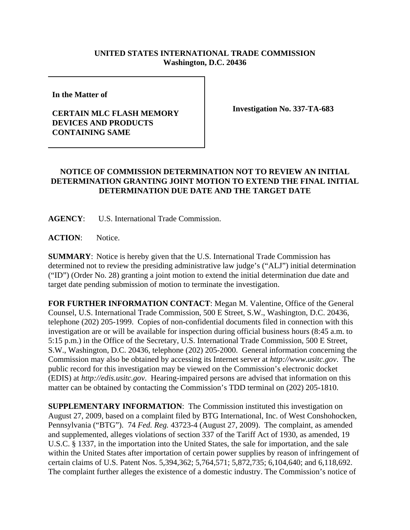## **UNITED STATES INTERNATIONAL TRADE COMMISSION Washington, D.C. 20436**

**In the Matter of** 

## **CERTAIN MLC FLASH MEMORY DEVICES AND PRODUCTS CONTAINING SAME**

**Investigation No. 337-TA-683**

## **NOTICE OF COMMISSION DETERMINATION NOT TO REVIEW AN INITIAL DETERMINATION GRANTING JOINT MOTION TO EXTEND THE FINAL INITIAL DETERMINATION DUE DATE AND THE TARGET DATE**

**AGENCY**: U.S. International Trade Commission.

ACTION: Notice.

**SUMMARY**: Notice is hereby given that the U.S. International Trade Commission has determined not to review the presiding administrative law judge's ("ALJ") initial determination ("ID") (Order No. 28) granting a joint motion to extend the initial determination due date and target date pending submission of motion to terminate the investigation.

**FOR FURTHER INFORMATION CONTACT**: Megan M. Valentine, Office of the General Counsel, U.S. International Trade Commission, 500 E Street, S.W., Washington, D.C. 20436, telephone (202) 205-1999. Copies of non-confidential documents filed in connection with this investigation are or will be available for inspection during official business hours (8:45 a.m. to 5:15 p.m.) in the Office of the Secretary, U.S. International Trade Commission, 500 E Street, S.W., Washington, D.C. 20436, telephone (202) 205-2000. General information concerning the Commission may also be obtained by accessing its Internet server at *http://www.usitc.gov*. The public record for this investigation may be viewed on the Commission's electronic docket (EDIS) at *http://edis.usitc.gov*. Hearing-impaired persons are advised that information on this matter can be obtained by contacting the Commission's TDD terminal on (202) 205-1810.

**SUPPLEMENTARY INFORMATION:** The Commission instituted this investigation on August 27, 2009, based on a complaint filed by BTG International, Inc. of West Conshohocken, Pennsylvania ("BTG"). 74 *Fed. Reg.* 43723-4 (August 27, 2009). The complaint, as amended and supplemented, alleges violations of section 337 of the Tariff Act of 1930, as amended, 19 U.S.C. § 1337, in the importation into the United States, the sale for importation, and the sale within the United States after importation of certain power supplies by reason of infringement of certain claims of U.S. Patent Nos. 5,394,362; 5,764,571; 5,872,735; 6,104,640; and 6,118,692. The complaint further alleges the existence of a domestic industry. The Commission's notice of